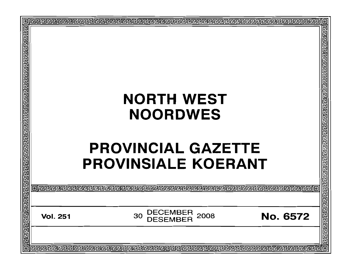| o                                            |                                                                     | 回                 |
|----------------------------------------------|---------------------------------------------------------------------|-------------------|
|                                              |                                                                     | 包<br>同            |
|                                              |                                                                     |                   |
|                                              |                                                                     | 리민민민              |
|                                              |                                                                     |                   |
|                                              |                                                                     |                   |
|                                              |                                                                     | 린리리리리             |
|                                              |                                                                     |                   |
|                                              |                                                                     |                   |
| <u>राघाचाचाचाचाचाचाचाचाचाचाचाचाचाचाचाचाच</u> | <b>NORTH WEST</b>                                                   |                   |
|                                              |                                                                     |                   |
|                                              | <b>NOORDWES</b>                                                     |                   |
|                                              |                                                                     |                   |
|                                              |                                                                     |                   |
|                                              |                                                                     |                   |
|                                              | <b>PROVINCIAL GAZETTE</b>                                           |                   |
|                                              | <b>PROVINSIALE KOERANT</b>                                          |                   |
|                                              |                                                                     |                   |
| Ë                                            |                                                                     |                   |
|                                              |                                                                     |                   |
|                                              |                                                                     |                   |
| <u>बागगगणन</u>                               |                                                                     |                   |
|                                              | <b>DECEMBER</b><br>2008<br><b>No. 6572</b><br>30<br><b>Vol. 251</b> |                   |
| 尾尾                                           | <b>DESEMBER</b>                                                     |                   |
| 厄                                            |                                                                     |                   |
|                                              |                                                                     | रारागगगरागगगणनागण |
|                                              |                                                                     |                   |
|                                              |                                                                     |                   |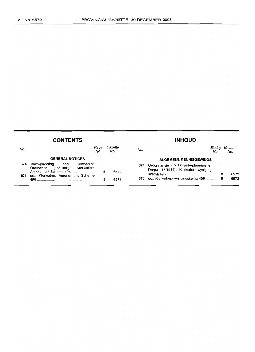| <b>CONTENTS</b> |                                                                                                                                                    |        |                |            | <b>INHOUD</b>                                                                                                   |               |                |  |
|-----------------|----------------------------------------------------------------------------------------------------------------------------------------------------|--------|----------------|------------|-----------------------------------------------------------------------------------------------------------------|---------------|----------------|--|
| No.             | Page<br>No.                                                                                                                                        |        | Gazette<br>No. | No.        |                                                                                                                 | Bladsv<br>No. | Koerant<br>No. |  |
|                 | <b>GENERAL NOTICES</b>                                                                                                                             |        |                |            | <b>ALGEMENE KENNISGEWINGS</b>                                                                                   |               |                |  |
| 674             | Town-planning<br>Townships<br>and<br>Ordinance<br>(15/1986):<br>Klerksdorp<br>Amendment Scheme 495<br>675 do.: Klerksdorp Amendment Scheme<br>496. | 8<br>8 | 6572<br>6572   | 674<br>675 | Ordonnansie op Dorpsbeplanning en<br>Dorpe (15/1986): Klerksdorp-wysiging-<br>do.: Klerksdorp-wysigingskema 496 | 8<br>9        | 6572<br>6572   |  |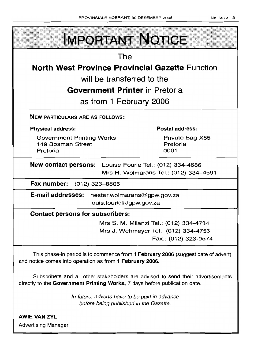| <b>IMPORTANT NOTICE</b>                                                                                                                                       |                                     |  |  |  |  |  |  |  |
|---------------------------------------------------------------------------------------------------------------------------------------------------------------|-------------------------------------|--|--|--|--|--|--|--|
| The                                                                                                                                                           |                                     |  |  |  |  |  |  |  |
| <b>North West Province Provincial Gazette Function</b>                                                                                                        |                                     |  |  |  |  |  |  |  |
| will be transferred to the                                                                                                                                    |                                     |  |  |  |  |  |  |  |
| <b>Government Printer</b> in Pretoria                                                                                                                         |                                     |  |  |  |  |  |  |  |
| as from 1 February 2006                                                                                                                                       |                                     |  |  |  |  |  |  |  |
| <b>NEW PARTICULARS ARE AS FOLLOWS:</b>                                                                                                                        |                                     |  |  |  |  |  |  |  |
| <b>Physical address:</b>                                                                                                                                      | <b>Postal address:</b>              |  |  |  |  |  |  |  |
| <b>Government Printing Works</b><br>149 Bosman Street<br>Pretoria                                                                                             | Private Bag X85<br>Pretoria<br>0001 |  |  |  |  |  |  |  |
| New contact persons: Louise Fourie Tel.: (012) 334-4686<br>Mrs H. Wolmarans Tel.: (012) 334-4591                                                              |                                     |  |  |  |  |  |  |  |
| Fax number: (012) 323-8805                                                                                                                                    |                                     |  |  |  |  |  |  |  |
| E-mail addresses: hester.wolmarans@gpw.gov.za<br>louis.fourie@gpw.gov.za                                                                                      |                                     |  |  |  |  |  |  |  |
| <b>Contact persons for subscribers:</b>                                                                                                                       |                                     |  |  |  |  |  |  |  |
| Mrs S. M. Milanzi Tel.: (012) 334-4734                                                                                                                        |                                     |  |  |  |  |  |  |  |
| Mrs J. Wehmeyer Tel.: (012) 334-4753                                                                                                                          | Fax.: (012) 323-9574                |  |  |  |  |  |  |  |
| This phase-in period is to commence from 1 February 2006 (suggest date of advert)<br>and notice comes into operation as from 1 February 2006.                 |                                     |  |  |  |  |  |  |  |
| Subscribers and all other stakeholders are advised to send their advertisements<br>directly to the Government Printing Works, 7 days before publication date. |                                     |  |  |  |  |  |  |  |
| In future, adverts have to be paid in advance<br>before being published in the Gazette.                                                                       |                                     |  |  |  |  |  |  |  |
| <b>AWIE VAN ZYL</b>                                                                                                                                           |                                     |  |  |  |  |  |  |  |
| <b>Advertising Manager</b>                                                                                                                                    |                                     |  |  |  |  |  |  |  |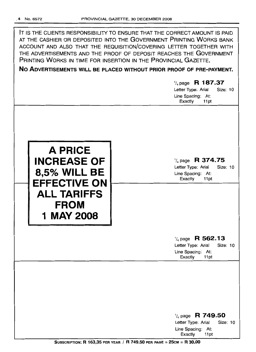IT IS THE CLIENTS RESPONSIBILITY TO ENSURE THAT THE CORRECT AMOUNT IS PAID AT THE CASHIER OR DEPOSITED INTO THE GOVERNMENT PRINTING WORKS BANK ACCOUNT AND ALSO THAT THE REQUISITION/COVERING LETTER TOGETHER WITH THE ADVERTISEMENTS AND THE PROOF OF DEPOSIT REACHES THE GOVERNMENT PRINTING WORKS IN TIME FOR INSERTION IN THE PROVINCIAL GAZETTE.

## No ADVERTISEMENTS WILL BE PLACED WITHOUT PRIOR PROOF OF PRE-PAYMENT.

## $\frac{1}{4}$  page R 187.37

Letter Type: Arial Size: 10 Line Spacing: At: Exactly 11 pt



## '/4 page R 374.75

Letter Type: Arial Size: 10 Line Spacing: At: Exactly 11 pt

# $\frac{1}{4}$  page R 562.13

Letter Type: Arial Size: 10 Line Spacing: At: Exactly 11pt

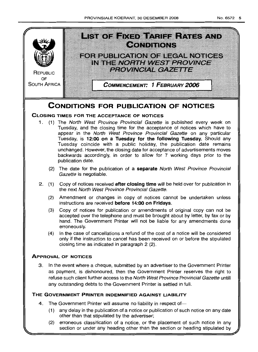

(2) erroneous classification of a notice, or the placement of such notice in any section or under any heading other than the section or heading stipulated by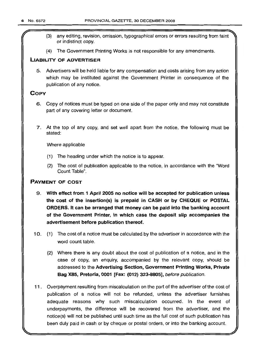- (3) any editing, revision, omission, typographical errors or errors resulting from faint or indistinct copy.
- (4) The Government Printing Works is not responsible for any amendments.

### **LIABILITY OF ADVERTISER**

5. Advertisers will be held liable for any compensation and costs arising from any action which may be instituted against the Government Printer in consequence of the publication of any notice.

## **COpy**

- 6. Copy of notices must be typed on one side of the paper only and may not constitute part of any covering letter or document.
- 7. At the top of any copy, and set well apart from the notice, the following must be stated:

Where applicable

- (1) The heading under which the notice is to appear.
- (2) The cost of publication applicable to the notice, in accordance with the "Word Count Table".

## **PAYMENT OF COST**

- 9. **With effect from 1 April 2005 no notice will be accepted for publication unless the cost of the insertion(s) is prepaid in CASH or by CHEQUE or POSTAL ORDERS. It can be arranged that money can be paid into the banking account of the Government Printer, in which case the deposit slip accompanies the advertisement before publication thereof.**
- 10. (1) The cost of a notice must be calculated by the advertiser in accordance with the word count table.
	- (2) Where there is any doubt about the cost of publication of a notice, and in the case of copy, an enquiry, accompanied by the relevant copy, should be addressed to the **Advertising Section, Government Printing Works, Private Bag X85, Pretoria, 0001 [Fax: (012) 323-8805],** before publication.
- **11.** Overpayment resulting from miscalculation on the part of the advertiser of the cost of publication of a notice will not be refunded, unless the advertiser furnishes adequate reasons why such miscalculation occurred. In the event of underpayments, the difference will be recovered from the advertiser, and the notice(s) will not be published until such time as the full cost of such publication has been duly paid in cash or by cheque or postal orders, or into the banking account.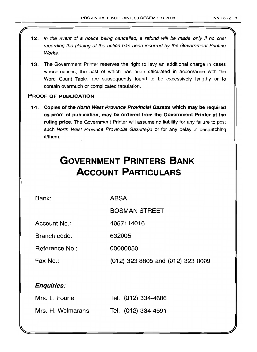12. In the event of a notice being cancelled, a refund will be made only if no cost regarding the placing of the notice has been incurred by the Government Printing Works. 13. The Government Printer reserves the right to levy an additional charge in cases where notices, the cost of which has been calculated in accordance with the Word Count Table, are subsequently found to be excessively lengthy or to contain overmuch or complicated tabulation. PROOF OF PUBLICATION 14. Copies of the North West Province Provincial Gazette which may be required as proof of publication, may be ordered from the Government Printer at the ruling price. The Government Printer will assume no liability for any failure to post such North West Province Provincial Gazette(s) or for any delay in despatching it/them. **GOVERNMENT PRINTERS BANK ACCOUNT PARTICULARS** Bank: Account No.: Branch code: Reference No.: Fax No.: Enquiries: ABSA BOSMAN STREET 4057114016 632005 00000050 (012) 323 8805 and (012) 323 0009

| Mrs. L. Fourie    | Tel.: (012) 334-4686 |
|-------------------|----------------------|
| Mrs. H. Wolmarans | Tel.: (012) 334-4591 |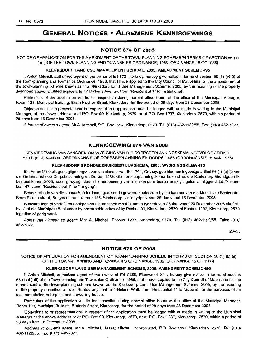## GENERAL NOTICES • ALGEMENE KENNISGEWINGS

#### NOTICE 674 OF 2008

NOTICE OF APPLICATION FOR THE AMENDMENT OF THE TOWN-PLANNING SCHEME IN TERMS OF SECTION 56 (1) (b) (i)OF THE TOWN-PLANNING AND TOWNSHIPS ORDINANCE, 1986 (ORDINANCE 15 OF 1986)

#### KLERKSDORP LAND USE MANAGEMENT SCHEME, 2005: AMENDMENT SCHEME 495

I, Anton Mitchell, authorized agent of the owner of Erf 1701, Orkney, hereby give notice in terms of section 56 (1) (b) (i) of the Town-planning and Townships Ordinance, 1986, that I have applied to the City Council of Matlosana for the amendment of the town-planning scheme known as the Klerksdorp Land Use Management Scheme, 2005, by the rezoning of the property described above, situated adjacent to 47 Dickens Avenue, from "Residential 1" to Institutional".

Particulars of the application will lie for inspection during normal office hours at the office of the Municipal Manager, Room 128, Municipal Building, Bram Fischer Street, Klerksdorp, for the period of 28 days from 23 December 2008.

Objections to or representations in respect of the application must be lodged with or made in writing to the Municipal Manager, at the above address or at P.O. Box 99, Klerksdorp, 2570, or at P.O. Box 1237, Klerksdorp, 2570, within a period of 28 days from 16 December 2008.

Address of owner's agent: MrA. Mitchell, P.O. Box 1237, Klerksdorp, 2570. Tel: (018) 462-1122/55. Fax: (018) 462-7077.

**- .**

#### KENNISGEWING 674 VAN 2008

KENNISGEWING VAN AANSOEK OM WYSIGING VAN DIE DORPSBEPLANNINGSKEMA INGEVOLGE ARTIKEL 56 (1) (b) (i) VAN DIE ORDONNANSIE OP DORPSBEPLANNING EN DORPE, 1986 (ORDONNANSIE 15 VAN 1986)

#### KLERKSDORP GRONDGEBRUIKBESTUURSKEMA, 2005: WYSIGINGSKEMA 495

Ek, Anton Mitchell, gemagtigde agent van die eienaar van Erf 1701, Orkney, gee hiermee ingevolge artikel 56 (1) (b) (i) van die Ordonnansie op Dorpsbeplanning en Dorpe, 1986, die dorpsbeplanningskema bekend as die Klerksdorp Grondgebruikbestuurskema, 2005, soos gewysig, deur die hersonering van die eiendom hierbo beskryf, gelee aanliggend tot Dickenslaan 47, vanaf "Residensieel 1" na "Inrigting".

Besonderhede van die aansoek lê ter insae gedurende gewone kantoorure by die kantoor van die Munisipale Bestuurder, Bram Fischerstraat, Burgersentrum, Kamer 128, Klerksdorp, vir 'n tydperk van 28 dae vanaf 16 Desember 2008.

Besware teen of vertoë ten opsigte van die aansoek moet binne 'n tydperk van 28 dae vanaf 23 Desember 2008 skriftelik by of tot die Munisipale Bestuurder by bovermelde adres of by Posbus 99, Klerksdorp, 2570, of Posbus 1237, Klerksdorp, 2570, ingedien of gerig word.

Adres van eienaar se agent: Mnr A. Mitchell, Posbus 1237, Klerksdorp, 2570. Tel: (018) 462-1122/55. Faks: (018) 462-7077.

23-30

#### NOTICE 675 OF 2008

NOTICE OF APPLICATION FOR AMENDMENT OF TOWN-PLANNING SCHEME IN TERMS OF SECTION 56 (1) (b) (ii) OF THE TOWN-PLANNING AND TOWNSHIPS ORDINANCE, 1986 (ORDINANCE 15 OF 1986)

#### KLERKSDORP LAND USE MANAGEMENT SCHEME, 2005: AMENDMENT SCHEME 496

I, Anton Mitchell, authorized agent of the owner of Erf 2855, Flamwood X41, hereby give notice in terms of section 56 (1) (b) (ii) of the Town-planning and Townships Ordinance, 1986, that I have applied to the City Council of Matlosana for the amendment of the town-planning scheme known as the Klerksdorp Land Use Management Scheme, 2005, by the rezoning of the property described above, situated adjacent to 4 Helens Walk from "Residential 1" to "Special" for the purposes of an accommodation enterprise and a dwelling house.

Particulars of the application will lie for inspection during normal office hours at the office of the Municipal Manager, Room 128, Municipal Building, Pretoria Street, Klerksdorp, for the period of 28 days from 23 December 2008.

Objections to or representations in respect of the application must be lodged with or made in writing to the Municipal Manager at the above address or at P.O. Box 99, Klerksdorp, 2570, or at P.O. Box 1237, Klerksdorp, 2570, within a period of 28 days from 16 December 2008.

Address of owner's agent: Mr A. Mitchell, Jassat Mitchell Incorporated, P.O. Box 1237, Klerksdorp, 2570. Tel: (018) 462-1122/55. Fax: (018) 462-7077.